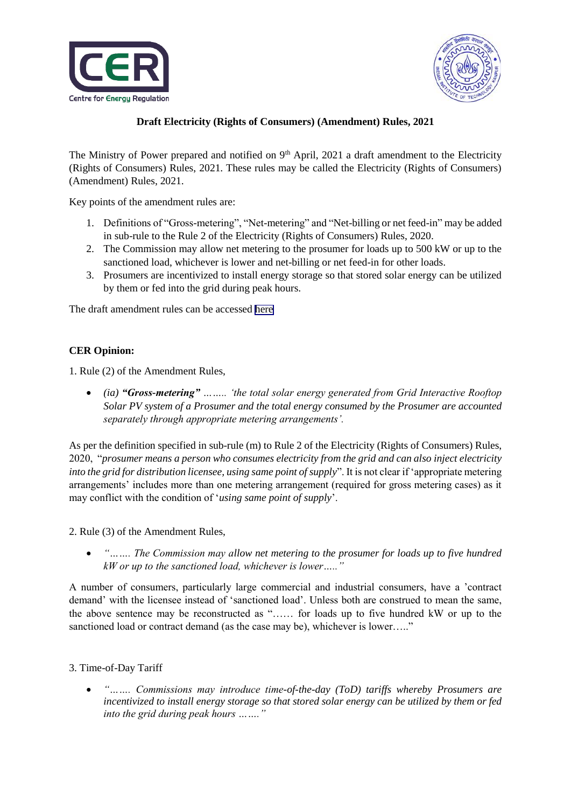



## **Draft Electricity (Rights of Consumers) (Amendment) Rules, 2021**

The Ministry of Power prepared and notified on 9<sup>th</sup> April, 2021 a draft amendment to the Electricity (Rights of Consumers) Rules, 2021. These rules may be called the Electricity (Rights of Consumers) (Amendment) Rules, 2021.

Key points of the amendment rules are:

- 1. Definitions of "Gross-metering", "Net-metering" and "Net-billing or net feed-in" may be added in sub-rule to the Rule 2 of the Electricity (Rights of Consumers) Rules, 2020.
- 2. The Commission may allow net metering to the prosumer for loads up to 500 kW or up to the sanctioned load, whichever is lower and net-billing or net feed-in for other loads.
- 3. Prosumers are incentivized to install energy storage so that stored solar energy can be utilized by them or fed into the grid during peak hours.

The draft amendment rules can be accessed [here](https://cer.iitk.ac.in/assets/Draft_Amendment_Electricity_Right_of_Consumers_2021.pdf) 

## **CER Opinion:**

1. Rule (2) of the Amendment Rules,

 *(ia) "Gross-metering" …….. 'the total solar energy generated from Grid Interactive Rooftop Solar PV system of a Prosumer and the total energy consumed by the Prosumer are accounted separately through appropriate metering arrangements'.*

As per the definition specified in sub-rule (m) to Rule 2 of the Electricity (Rights of Consumers) Rules, 2020, "*prosumer means a person who consumes electricity from the grid and can also inject electricity into the grid for distribution licensee, using same point of supply*". It is not clear if 'appropriate metering arrangements' includes more than one metering arrangement (required for gross metering cases) as it may conflict with the condition of '*using same point of supply*'.

2. Rule (3) of the Amendment Rules,

 *"……. The Commission may allow net metering to the prosumer for loads up to five hundred kW or up to the sanctioned load, whichever is lower….."*

A number of consumers, particularly large commercial and industrial consumers, have a 'contract demand' with the licensee instead of 'sanctioned load'. Unless both are construed to mean the same, the above sentence may be reconstructed as "…… for loads up to five hundred kW or up to the sanctioned load or contract demand (as the case may be), whichever is lower....."

## 3. Time-of-Day Tariff

 *"……. Commissions may introduce time-of-the-day (ToD) tariffs whereby Prosumers are incentivized to install energy storage so that stored solar energy can be utilized by them or fed into the grid during peak hours ……."*